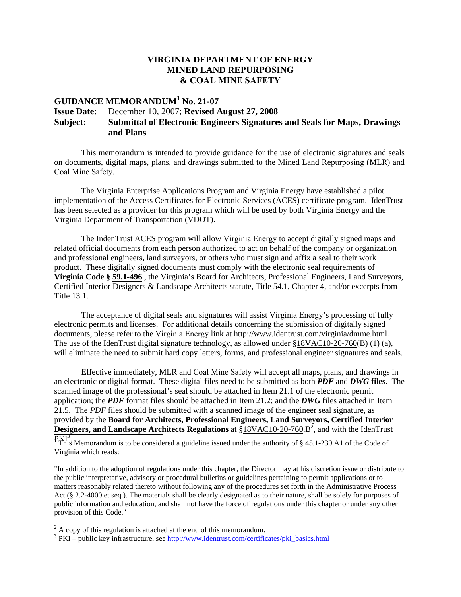## **VIRGINIA DEPARTMENT OF ENERGY MINED LAND REPURPOSING & COAL MINE SAFETY**

# **GUIDANCE MEMORANDUM<sup>1</sup> No. 21-07**

## **Issue Date:** December 10, 2007; **Revised August 27, 2008 Subject: Submittal of Electronic Engineers Signatures and Seals for Maps, Drawings and Plans**

This memorandum is intended to provide guidance for the use of electronic signatures and seals on documents, digital maps, plans, and drawings submitted to the Mined Land Repurposing (MLR) and Coal Mine Safety.

The Virginia Enterprise Applications Program and Virginia Energy have established a pilot implementation of the Access Certificates for Electronic Services (ACES) certificate program. IdenTrust has been selected as a provider for this program which will be used by both Virginia Energy and the Virginia Department of Transportation (VDOT).

The IndenTrust ACES program will allow Virginia Energy to accept digitally signed maps and related official documents from each person authorized to act on behalf of the company or organization and professional engineers, land surveyors, or others who must sign and affix a seal to their work product. These digitally signed documents must comply with the electronic seal requirements of **Virginia Code § 59.1-496** , the Virginia's Board for Architects, Professional Engineers, Land Surveyors, Certified Interior Designers & Landscape Architects statute, Title 54.1, Chapter 4, and/or excerpts from Title 13.1.

The acceptance of digital seals and signatures will assist Virginia Energy's processing of fully electronic permits and licenses. For additional details concerning the submission of digitally signed documents, please refer to the Virginia Energy link at http://www.identrust.com/virginia/dmme.html. The use of the IdenTrust digital signature technology, as allowed under §18VAC10-20-760(B) (1) (a), will eliminate the need to submit hard copy letters, forms, and professional engineer signatures and seals.

Effective immediately, MLR and Coal Mine Safety will accept all maps, plans, and drawings in an electronic or digital format. These digital files need to be submitted as both *PDF* and *DWG* **files**. The scanned image of the professional's seal should be attached in Item 21.1 of the electronic permit application; the *PDF* format files should be attached in Item 21.2; and the *DWG* files attached in Item 21.5. The *PDF* files should be submitted with a scanned image of the engineer seal signature, as provided by the **Board for Architects, Professional Engineers, Land Surveyors, Certified Interior Designers, and Landscape Architects Regulations** at  $\S 18 \text{VAC} 10\text{-}20\text{-}760$ . B<sup>2</sup>, and with the IdenTrust

PKI<sup>3</sup><br>
This Memorandum is to be considered a guideline issued under the authority of § 45.1-230.A1 of the Code of Virginia which reads:

"In addition to the adoption of regulations under this chapter, the Director may at his discretion issue or distribute to the public interpretative, advisory or procedural bulletins or guidelines pertaining to permit applications or to matters reasonably related thereto without following any of the procedures set forth in the Administrative Process Act (§ 2.2-4000 et seq.). The materials shall be clearly designated as to their nature, shall be solely for purposes of public information and education, and shall not have the force of regulations under this chapter or under any other provision of this Code."

<sup>2</sup> A copy of this regulation is attached at the end of this memorandum.

<sup>3</sup> PKI – public key infrastructure, see http://www.identrust.com/certificates/pki\_basics.html